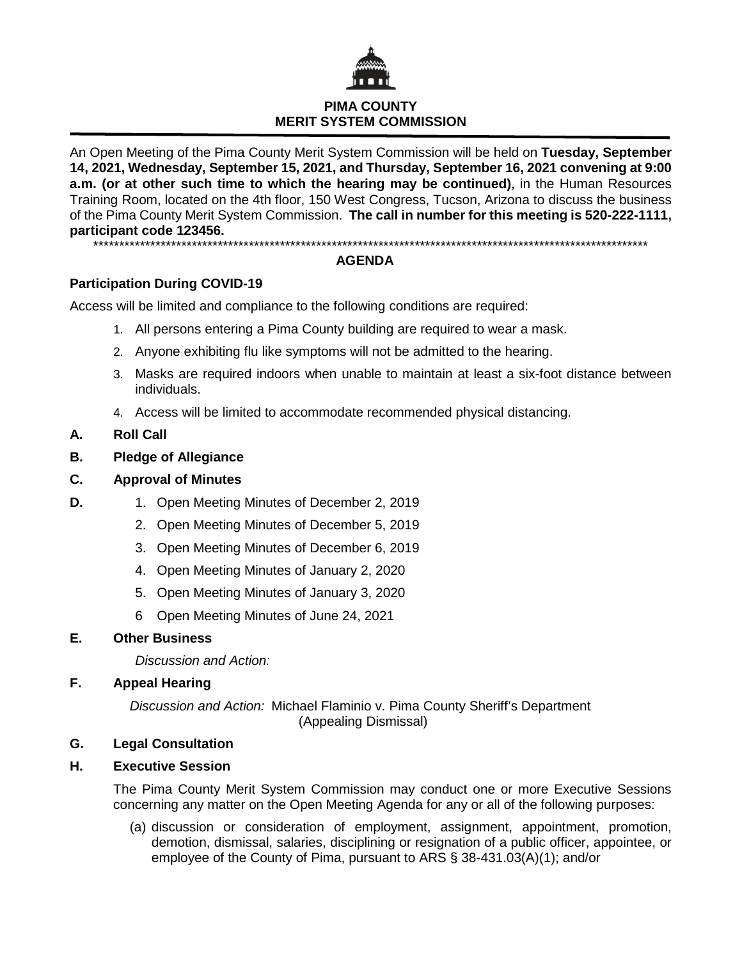

# **PIMA COUNTY MERIT SYSTEM COMMISSION**

An Open Meeting of the Pima County Merit System Commission will be held on **Tuesday, September 14, 2021, Wednesday, September 15, 2021, and Thursday, September 16, 2021 convening at 9:00 a.m. (or at other such time to which the hearing may be continued)**, in the Human Resources Training Room, located on the 4th floor, 150 West Congress, Tucson, Arizona to discuss the business of the Pima County Merit System Commission. **The call in number for this meeting is 520-222-1111, participant code 123456.**

\*\*\*\*\*\*\*\*\*\*\*\*\*\*\*\*\*\*\*\*\*\*\*\*\*\*\*\*\*\*\*\*\*\*\*\*\*\*\*\*\*\*\*\*\*\*\*\*\*\*\*\*\*\*\*\*\*\*\*\*\*\*\*\*\*\*\*\*\*\*\*\*\*\*\*\*\*\*\*\*\*\*\*\*\*\*\*\*\*\*\*\*\*\*\*\*\*\*\*\*\*\*\*\*\*\*\*

## **AGENDA**

## **Participation During COVID-19**

Access will be limited and compliance to the following conditions are required:

- 1. All persons entering a Pima County building are required to wear a mask.
- 2. Anyone exhibiting flu like symptoms will not be admitted to the hearing.
- 3. Masks are required indoors when unable to maintain at least a six-foot distance between individuals.
- 4. Access will be limited to accommodate recommended physical distancing.

## **A. Roll Call**

**B. Pledge of Allegiance**

# **C. Approval of Minutes**

- **D.** 1. Open Meeting Minutes of December 2, 2019
	- 2. Open Meeting Minutes of December 5, 2019
	- 3. Open Meeting Minutes of December 6, 2019
	- 4. Open Meeting Minutes of January 2, 2020
	- 5. Open Meeting Minutes of January 3, 2020
	- 6 Open Meeting Minutes of June 24, 2021

## **E. Other Business**

*Discussion and Action:*

## **F. Appeal Hearing**

*Discussion and Action:* Michael Flaminio v. Pima County Sheriff's Department (Appealing Dismissal)

## **G. Legal Consultation**

## **H. Executive Session**

The Pima County Merit System Commission may conduct one or more Executive Sessions concerning any matter on the Open Meeting Agenda for any or all of the following purposes:

(a) discussion or consideration of employment, assignment, appointment, promotion, demotion, dismissal, salaries, disciplining or resignation of a public officer, appointee, or employee of the County of Pima, pursuant to ARS § 38-431.03(A)(1); and/or